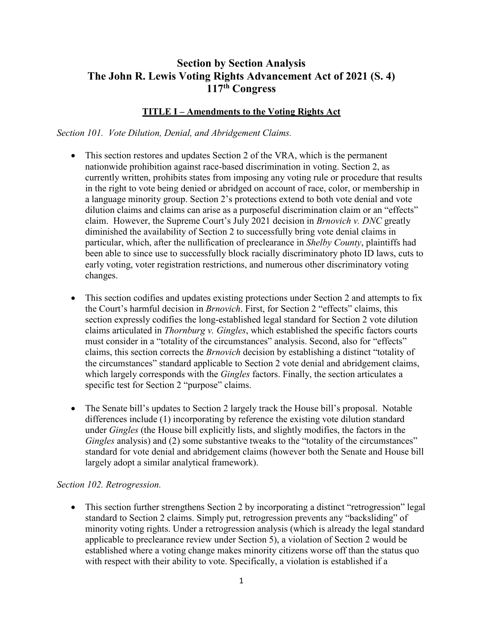# **Section by Section Analysis The John R. Lewis Voting Rights Advancement Act of 2021 (S. 4) 117th Congress**

### **TITLE I – Amendments to the Voting Rights Act**

*Section 101. Vote Dilution, Denial, and Abridgement Claims.*

- This section restores and updates Section 2 of the VRA, which is the permanent nationwide prohibition against race-based discrimination in voting. Section 2, as currently written, prohibits states from imposing any voting rule or procedure that results in the right to vote being denied or abridged on account of race, color, or membership in a language minority group. Section 2's protections extend to both vote denial and vote dilution claims and claims can arise as a purposeful discrimination claim or an "effects" claim. However, the Supreme Court's July 2021 decision in *Brnovich v. DNC* greatly diminished the availability of Section 2 to successfully bring vote denial claims in particular, which, after the nullification of preclearance in *Shelby County*, plaintiffs had been able to since use to successfully block racially discriminatory photo ID laws, cuts to early voting, voter registration restrictions, and numerous other discriminatory voting changes.
- This section codifies and updates existing protections under Section 2 and attempts to fix the Court's harmful decision in *Brnovich*. First, for Section 2 "effects" claims, this section expressly codifies the long-established legal standard for Section 2 vote dilution claims articulated in *Thornburg v. Gingles*, which established the specific factors courts must consider in a "totality of the circumstances" analysis. Second, also for "effects" claims, this section corrects the *Brnovich* decision by establishing a distinct "totality of the circumstances" standard applicable to Section 2 vote denial and abridgement claims, which largely corresponds with the *Gingles* factors. Finally, the section articulates a specific test for Section 2 "purpose" claims.
- The Senate bill's updates to Section 2 largely track the House bill's proposal. Notable differences include (1) incorporating by reference the existing vote dilution standard under *Gingles* (the House bill explicitly lists, and slightly modifies, the factors in the *Gingles* analysis) and (2) some substantive tweaks to the "totality of the circumstances" standard for vote denial and abridgement claims (however both the Senate and House bill largely adopt a similar analytical framework).

#### *Section 102. Retrogression.*

• This section further strengthens Section 2 by incorporating a distinct "retrogression" legal standard to Section 2 claims. Simply put, retrogression prevents any "backsliding" of minority voting rights. Under a retrogression analysis (which is already the legal standard applicable to preclearance review under Section 5), a violation of Section 2 would be established where a voting change makes minority citizens worse off than the status quo with respect with their ability to vote. Specifically, a violation is established if a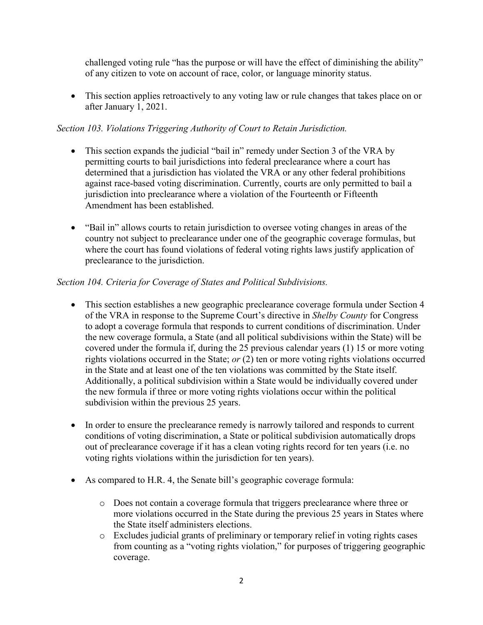challenged voting rule "has the purpose or will have the effect of diminishing the ability" of any citizen to vote on account of race, color, or language minority status.

• This section applies retroactively to any voting law or rule changes that takes place on or after January 1, 2021.

### *Section 103. Violations Triggering Authority of Court to Retain Jurisdiction.*

- This section expands the judicial "bail in" remedy under Section 3 of the VRA by permitting courts to bail jurisdictions into federal preclearance where a court has determined that a jurisdiction has violated the VRA or any other federal prohibitions against race-based voting discrimination. Currently, courts are only permitted to bail a jurisdiction into preclearance where a violation of the Fourteenth or Fifteenth Amendment has been established.
- "Bail in" allows courts to retain jurisdiction to oversee voting changes in areas of the country not subject to preclearance under one of the geographic coverage formulas, but where the court has found violations of federal voting rights laws justify application of preclearance to the jurisdiction.

### *Section 104. Criteria for Coverage of States and Political Subdivisions.*

- This section establishes a new geographic preclearance coverage formula under Section 4 of the VRA in response to the Supreme Court's directive in *Shelby County* for Congress to adopt a coverage formula that responds to current conditions of discrimination. Under the new coverage formula, a State (and all political subdivisions within the State) will be covered under the formula if, during the 25 previous calendar years (1) 15 or more voting rights violations occurred in the State; *or* (2) ten or more voting rights violations occurred in the State and at least one of the ten violations was committed by the State itself. Additionally, a political subdivision within a State would be individually covered under the new formula if three or more voting rights violations occur within the political subdivision within the previous 25 years.
- In order to ensure the preclearance remedy is narrowly tailored and responds to current conditions of voting discrimination, a State or political subdivision automatically drops out of preclearance coverage if it has a clean voting rights record for ten years (i.e. no voting rights violations within the jurisdiction for ten years).
- As compared to H.R. 4, the Senate bill's geographic coverage formula:
	- o Does not contain a coverage formula that triggers preclearance where three or more violations occurred in the State during the previous 25 years in States where the State itself administers elections.
	- o Excludes judicial grants of preliminary or temporary relief in voting rights cases from counting as a "voting rights violation," for purposes of triggering geographic coverage.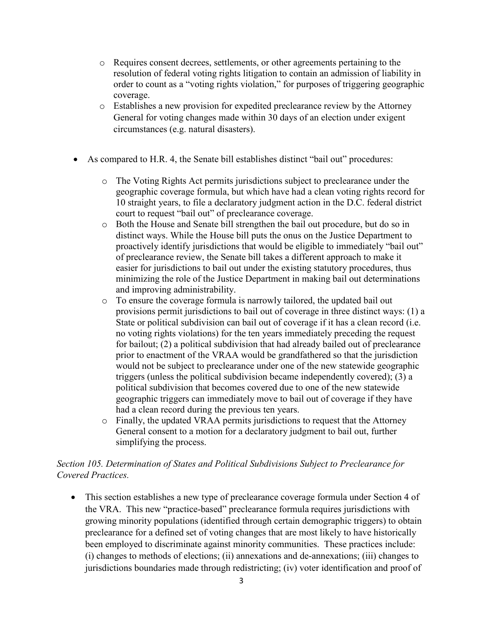- o Requires consent decrees, settlements, or other agreements pertaining to the resolution of federal voting rights litigation to contain an admission of liability in order to count as a "voting rights violation," for purposes of triggering geographic coverage.
- o Establishes a new provision for expedited preclearance review by the Attorney General for voting changes made within 30 days of an election under exigent circumstances (e.g. natural disasters).
- As compared to H.R. 4, the Senate bill establishes distinct "bail out" procedures:
	- The Voting Rights Act permits jurisdictions subject to preclearance under the geographic coverage formula, but which have had a clean voting rights record for 10 straight years, to file a declaratory judgment action in the D.C. federal district court to request "bail out" of preclearance coverage.
	- o Both the House and Senate bill strengthen the bail out procedure, but do so in distinct ways. While the House bill puts the onus on the Justice Department to proactively identify jurisdictions that would be eligible to immediately "bail out" of preclearance review, the Senate bill takes a different approach to make it easier for jurisdictions to bail out under the existing statutory procedures, thus minimizing the role of the Justice Department in making bail out determinations and improving administrability.
	- o To ensure the coverage formula is narrowly tailored, the updated bail out provisions permit jurisdictions to bail out of coverage in three distinct ways: (1) a State or political subdivision can bail out of coverage if it has a clean record (i.e. no voting rights violations) for the ten years immediately preceding the request for bailout; (2) a political subdivision that had already bailed out of preclearance prior to enactment of the VRAA would be grandfathered so that the jurisdiction would not be subject to preclearance under one of the new statewide geographic triggers (unless the political subdivision became independently covered); (3) a political subdivision that becomes covered due to one of the new statewide geographic triggers can immediately move to bail out of coverage if they have had a clean record during the previous ten years.
	- o Finally, the updated VRAA permits jurisdictions to request that the Attorney General consent to a motion for a declaratory judgment to bail out, further simplifying the process.

### *Section 105. Determination of States and Political Subdivisions Subject to Preclearance for Covered Practices.*

• This section establishes a new type of preclearance coverage formula under Section 4 of the VRA. This new "practice-based" preclearance formula requires jurisdictions with growing minority populations (identified through certain demographic triggers) to obtain preclearance for a defined set of voting changes that are most likely to have historically been employed to discriminate against minority communities. These practices include: (i) changes to methods of elections; (ii) annexations and de-annexations; (iii) changes to jurisdictions boundaries made through redistricting; (iv) voter identification and proof of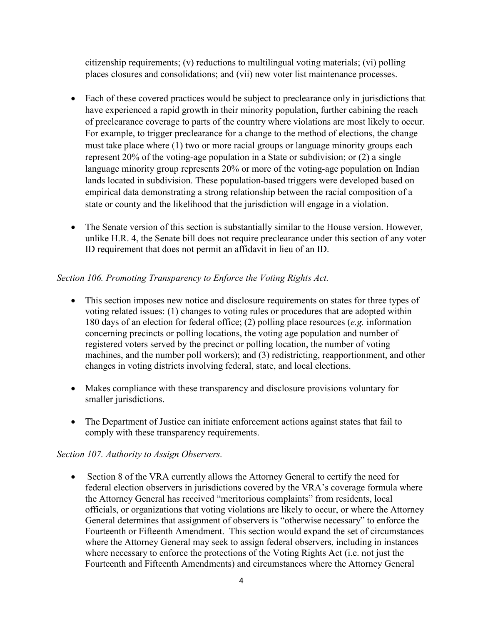citizenship requirements; (v) reductions to multilingual voting materials; (vi) polling places closures and consolidations; and (vii) new voter list maintenance processes.

- Each of these covered practices would be subject to preclearance only in jurisdictions that have experienced a rapid growth in their minority population, further cabining the reach of preclearance coverage to parts of the country where violations are most likely to occur. For example, to trigger preclearance for a change to the method of elections, the change must take place where (1) two or more racial groups or language minority groups each represent 20% of the voting-age population in a State or subdivision; or (2) a single language minority group represents 20% or more of the voting-age population on Indian lands located in subdivision. These population-based triggers were developed based on empirical data demonstrating a strong relationship between the racial composition of a state or county and the likelihood that the jurisdiction will engage in a violation.
- The Senate version of this section is substantially similar to the House version. However, unlike H.R. 4, the Senate bill does not require preclearance under this section of any voter ID requirement that does not permit an affidavit in lieu of an ID.

### *Section 106. Promoting Transparency to Enforce the Voting Rights Act.*

- This section imposes new notice and disclosure requirements on states for three types of voting related issues: (1) changes to voting rules or procedures that are adopted within 180 days of an election for federal office; (2) polling place resources (*e.g.* information concerning precincts or polling locations, the voting age population and number of registered voters served by the precinct or polling location, the number of voting machines, and the number poll workers); and (3) redistricting, reapportionment, and other changes in voting districts involving federal, state, and local elections.
- Makes compliance with these transparency and disclosure provisions voluntary for smaller jurisdictions.
- The Department of Justice can initiate enforcement actions against states that fail to comply with these transparency requirements.

### *Section 107. Authority to Assign Observers.*

• Section 8 of the VRA currently allows the Attorney General to certify the need for federal election observers in jurisdictions covered by the VRA's coverage formula where the Attorney General has received "meritorious complaints" from residents, local officials, or organizations that voting violations are likely to occur, or where the Attorney General determines that assignment of observers is "otherwise necessary" to enforce the Fourteenth or Fifteenth Amendment. This section would expand the set of circumstances where the Attorney General may seek to assign federal observers, including in instances where necessary to enforce the protections of the Voting Rights Act (i.e. not just the Fourteenth and Fifteenth Amendments) and circumstances where the Attorney General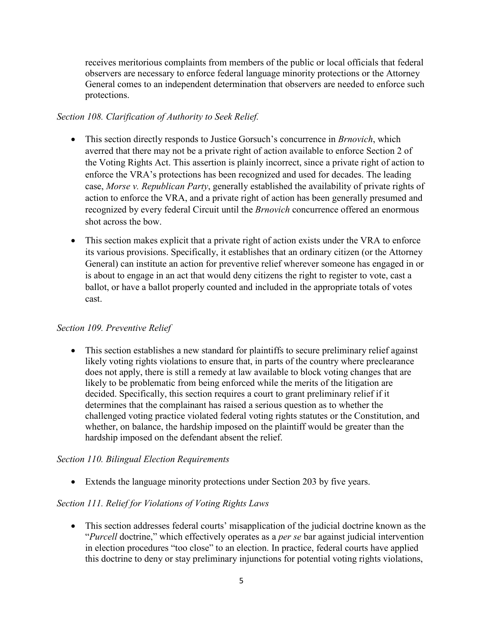receives meritorious complaints from members of the public or local officials that federal observers are necessary to enforce federal language minority protections or the Attorney General comes to an independent determination that observers are needed to enforce such protections.

### *Section 108. Clarification of Authority to Seek Relief.*

- This section directly responds to Justice Gorsuch's concurrence in *Brnovich*, which averred that there may not be a private right of action available to enforce Section 2 of the Voting Rights Act. This assertion is plainly incorrect, since a private right of action to enforce the VRA's protections has been recognized and used for decades. The leading case, *Morse v. Republican Party*, generally established the availability of private rights of action to enforce the VRA, and a private right of action has been generally presumed and recognized by every federal Circuit until the *Brnovich* concurrence offered an enormous shot across the bow.
- This section makes explicit that a private right of action exists under the VRA to enforce its various provisions. Specifically, it establishes that an ordinary citizen (or the Attorney General) can institute an action for preventive relief wherever someone has engaged in or is about to engage in an act that would deny citizens the right to register to vote, cast a ballot, or have a ballot properly counted and included in the appropriate totals of votes cast.

### *Section 109. Preventive Relief*

• This section establishes a new standard for plaintiffs to secure preliminary relief against likely voting rights violations to ensure that, in parts of the country where preclearance does not apply, there is still a remedy at law available to block voting changes that are likely to be problematic from being enforced while the merits of the litigation are decided. Specifically, this section requires a court to grant preliminary relief if it determines that the complainant has raised a serious question as to whether the challenged voting practice violated federal voting rights statutes or the Constitution, and whether, on balance, the hardship imposed on the plaintiff would be greater than the hardship imposed on the defendant absent the relief.

### *Section 110. Bilingual Election Requirements*

• Extends the language minority protections under Section 203 by five years.

## *Section 111. Relief for Violations of Voting Rights Laws*

• This section addresses federal courts' misapplication of the judicial doctrine known as the "*Purcell* doctrine," which effectively operates as a *per se* bar against judicial intervention in election procedures "too close" to an election. In practice, federal courts have applied this doctrine to deny or stay preliminary injunctions for potential voting rights violations,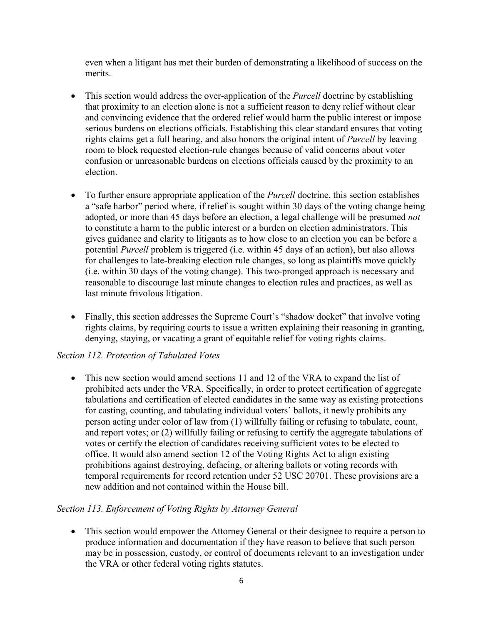even when a litigant has met their burden of demonstrating a likelihood of success on the merits.

- This section would address the over-application of the *Purcell* doctrine by establishing that proximity to an election alone is not a sufficient reason to deny relief without clear and convincing evidence that the ordered relief would harm the public interest or impose serious burdens on elections officials. Establishing this clear standard ensures that voting rights claims get a full hearing, and also honors the original intent of *Purcell* by leaving room to block requested election-rule changes because of valid concerns about voter confusion or unreasonable burdens on elections officials caused by the proximity to an election.
- To further ensure appropriate application of the *Purcell* doctrine, this section establishes a "safe harbor" period where, if relief is sought within 30 days of the voting change being adopted, or more than 45 days before an election, a legal challenge will be presumed *not* to constitute a harm to the public interest or a burden on election administrators. This gives guidance and clarity to litigants as to how close to an election you can be before a potential *Purcell* problem is triggered (i.e. within 45 days of an action), but also allows for challenges to late-breaking election rule changes, so long as plaintiffs move quickly (i.e. within 30 days of the voting change). This two-pronged approach is necessary and reasonable to discourage last minute changes to election rules and practices, as well as last minute frivolous litigation.
- Finally, this section addresses the Supreme Court's "shadow docket" that involve voting rights claims, by requiring courts to issue a written explaining their reasoning in granting, denying, staying, or vacating a grant of equitable relief for voting rights claims.

### *Section 112. Protection of Tabulated Votes*

• This new section would amend sections 11 and 12 of the VRA to expand the list of prohibited acts under the VRA. Specifically, in order to protect certification of aggregate tabulations and certification of elected candidates in the same way as existing protections for casting, counting, and tabulating individual voters' ballots, it newly prohibits any person acting under color of law from (1) willfully failing or refusing to tabulate, count, and report votes; or (2) willfully failing or refusing to certify the aggregate tabulations of votes or certify the election of candidates receiving sufficient votes to be elected to office. It would also amend section 12 of the Voting Rights Act to align existing prohibitions against destroying, defacing, or altering ballots or voting records with temporal requirements for record retention under 52 USC 20701. These provisions are a new addition and not contained within the House bill.

### *Section 113. Enforcement of Voting Rights by Attorney General*

• This section would empower the Attorney General or their designee to require a person to produce information and documentation if they have reason to believe that such person may be in possession, custody, or control of documents relevant to an investigation under the VRA or other federal voting rights statutes.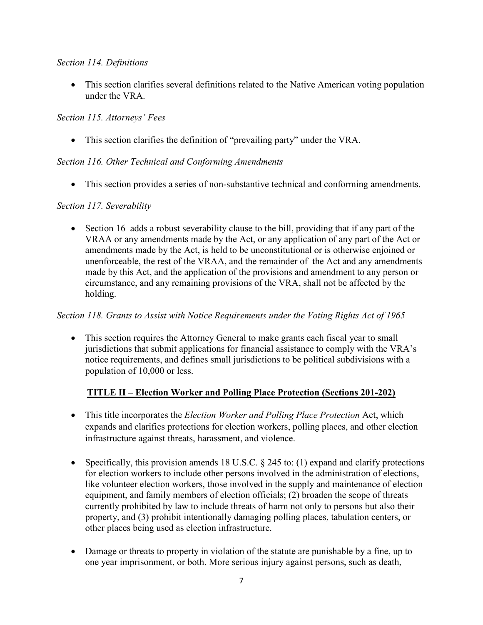### *Section 114. Definitions*

• This section clarifies several definitions related to the Native American voting population under the VRA.

### *Section 115. Attorneys' Fees*

• This section clarifies the definition of "prevailing party" under the VRA.

### *Section 116. Other Technical and Conforming Amendments*

• This section provides a series of non-substantive technical and conforming amendments.

### *Section 117. Severability*

• Section 16 adds a robust severability clause to the bill, providing that if any part of the VRAA or any amendments made by the Act, or any application of any part of the Act or amendments made by the Act, is held to be unconstitutional or is otherwise enjoined or unenforceable, the rest of the VRAA, and the remainder of the Act and any amendments made by this Act, and the application of the provisions and amendment to any person or circumstance, and any remaining provisions of the VRA, shall not be affected by the holding.

### *Section 118. Grants to Assist with Notice Requirements under the Voting Rights Act of 1965*

• This section requires the Attorney General to make grants each fiscal year to small jurisdictions that submit applications for financial assistance to comply with the VRA's notice requirements, and defines small jurisdictions to be political subdivisions with a population of 10,000 or less.

## **TITLE II – Election Worker and Polling Place Protection (Sections 201-202)**

- This title incorporates the *Election Worker and Polling Place Protection* Act, which expands and clarifies protections for election workers, polling places, and other election infrastructure against threats, harassment, and violence.
- Specifically, this provision amends 18 U.S.C. § 245 to: (1) expand and clarify protections for election workers to include other persons involved in the administration of elections, like volunteer election workers, those involved in the supply and maintenance of election equipment, and family members of election officials; (2) broaden the scope of threats currently prohibited by law to include threats of harm not only to persons but also their property, and (3) prohibit intentionally damaging polling places, tabulation centers, or other places being used as election infrastructure.
- Damage or threats to property in violation of the statute are punishable by a fine, up to one year imprisonment, or both. More serious injury against persons, such as death,